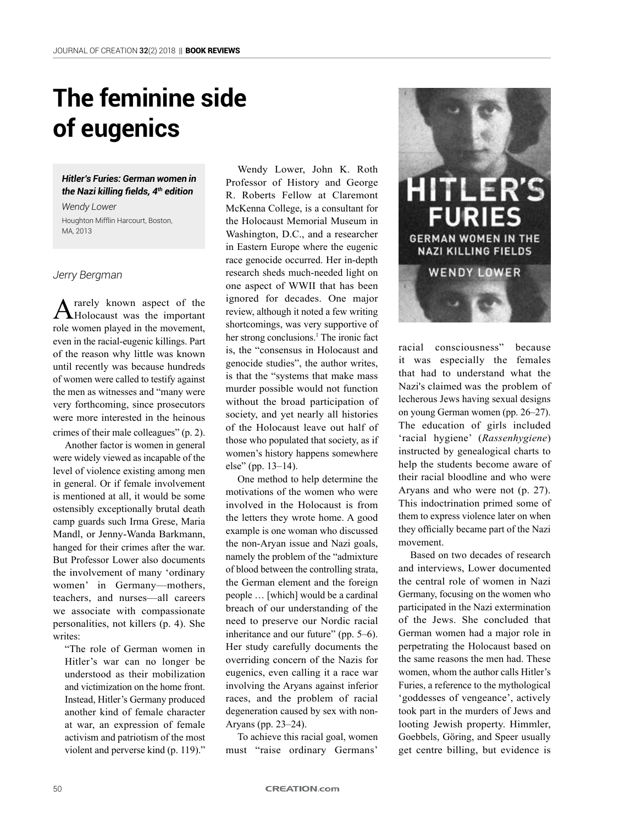# **The feminine side of eugenics**

## *Hitler's Furies: German women in the Nazi killing fields, 4th edition*

*Wendy Lower* Houghton Mifflin Harcourt, Boston, MA, 2013

# *Jerry Bergman*

A rarely known aspect of the Holocaust was the important role women played in the movement, even in the racial-eugenic killings. Part of the reason why little was known until recently was because hundreds of women were called to testify against the men as witnesses and "many were very forthcoming, since prosecutors were more interested in the heinous crimes of their male colleagues" (p. 2).

Another factor is women in general were widely viewed as incapable of the level of violence existing among men in general. Or if female involvement is mentioned at all, it would be some ostensibly exceptionally brutal death camp guards such Irma Grese, Maria Mandl, or Jenny-Wanda Barkmann, hanged for their crimes after the war. But Professor Lower also documents the involvement of many 'ordinary women' in Germany—mothers, teachers, and nurses—all careers we associate with compassionate personalities, not killers (p. 4). She writes:

"The role of German women in Hitler's war can no longer be understood as their mobilization and victimization on the home front. Instead, Hitler's Germany produced another kind of female character at war, an expression of female activism and patriotism of the most violent and perverse kind (p. 119)."

Wendy Lower, John K. Roth Professor of History and George R. Roberts Fellow at Claremont McKenna College, is a consultant for the Holocaust Memorial Museum in Washington, D.C., and a researcher in Eastern Europe where the eugenic race genocide occurred. Her in-depth research sheds much-needed light on one aspect of WWII that has been ignored for decades. One major review, although it noted a few writing shortcomings, was very supportive of her strong conclusions.<sup>1</sup> The ironic fact is, the "consensus in Holocaust and genocide studies", the author writes, is that the "systems that make mass murder possible would not function without the broad participation of society, and yet nearly all histories of the Holocaust leave out half of those who populated that society, as if women's history happens somewhere else" (pp. 13–14).

One method to help determine the motivations of the women who were involved in the Holocaust is from the letters they wrote home. A good example is one woman who discussed the non-Aryan issue and Nazi goals, namely the problem of the "admixture of blood between the controlling strata, the German element and the foreign people … [which] would be a cardinal breach of our understanding of the need to preserve our Nordic racial inheritance and our future" (pp. 5–6). Her study carefully documents the overriding concern of the Nazis for eugenics, even calling it a race war involving the Aryans against inferior races, and the problem of racial degeneration caused by sex with non-Aryans (pp. 23–24).

To achieve this racial goal, women must "raise ordinary Germans'



racial consciousness" because it was especially the females that had to understand what the Nazi's claimed was the problem of lecherous Jews having sexual designs on young German women (pp. 26–27). The education of girls included 'racial hygiene' (*Rassenhygiene*) instructed by genealogical charts to help the students become aware of their racial bloodline and who were Aryans and who were not (p. 27). This indoctrination primed some of them to express violence later on when they officially became part of the Nazi movement.

Based on two decades of research and interviews, Lower documented the central role of women in Nazi Germany, focusing on the women who participated in the Nazi extermination of the Jews. She concluded that German women had a major role in perpetrating the Holocaust based on the same reasons the men had. These women, whom the author calls Hitler's Furies, a reference to the mythological 'goddesses of vengeance', actively took part in the murders of Jews and looting Jewish property. Himmler, Goebbels, Göring, and Speer usually get centre billing, but evidence is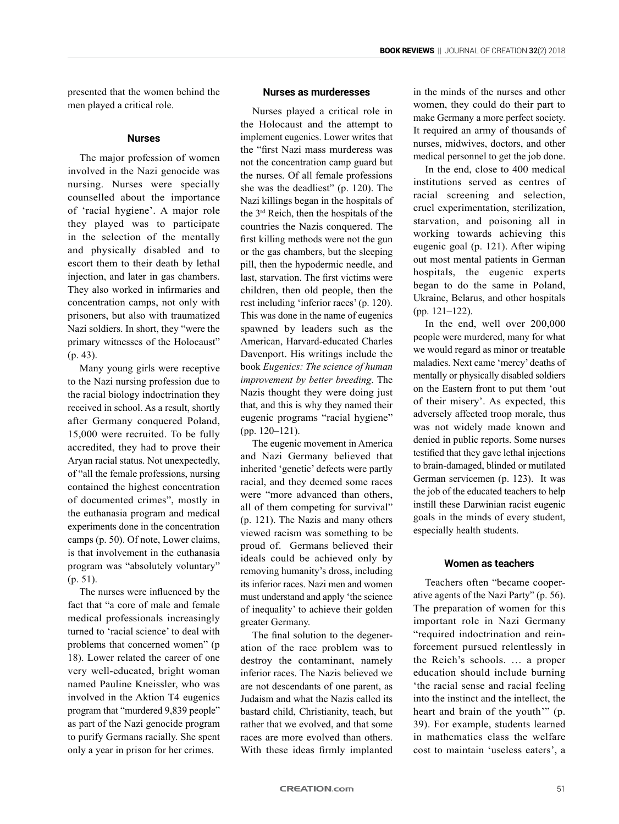presented that the women behind the men played a critical role.

### **Nurses**

The major profession of women involved in the Nazi genocide was nursing. Nurses were specially counselled about the importance of 'racial hygiene'. A major role they played was to participate in the selection of the mentally and physically disabled and to escort them to their death by lethal injection, and later in gas chambers. They also worked in infirmaries and concentration camps, not only with prisoners, but also with traumatized Nazi soldiers. In short, they "were the primary witnesses of the Holocaust" (p. 43).

Many young girls were receptive to the Nazi nursing profession due to the racial biology indoctrination they received in school. As a result, shortly after Germany conquered Poland, 15,000 were recruited. To be fully accredited, they had to prove their Aryan racial status. Not unexpectedly, of "all the female professions, nursing contained the highest concentration of documented crimes", mostly in the euthanasia program and medical experiments done in the concentration camps (p. 50). Of note, Lower claims, is that involvement in the euthanasia program was "absolutely voluntary" (p. 51).

The nurses were influenced by the fact that "a core of male and female medical professionals increasingly turned to 'racial science' to deal with problems that concerned women" (p 18). Lower related the career of one very well-educated, bright woman named Pauline Kneissler, who was involved in the Aktion T4 eugenics program that "murdered 9,839 people" as part of the Nazi genocide program to purify Germans racially. She spent only a year in prison for her crimes.

# **Nurses as murderesses**

Nurses played a critical role in the Holocaust and the attempt to implement eugenics. Lower writes that the "first Nazi mass murderess was not the concentration camp guard but the nurses. Of all female professions she was the deadliest" (p. 120). The Nazi killings began in the hospitals of the 3rd Reich, then the hospitals of the countries the Nazis conquered. The first killing methods were not the gun or the gas chambers, but the sleeping pill, then the hypodermic needle, and last, starvation. The first victims were children, then old people, then the rest including 'inferior races' (p. 120). This was done in the name of eugenics spawned by leaders such as the American, Harvard-educated Charles Davenport. His writings include the book *Eugenics: The science of human improvement by better breeding*. The Nazis thought they were doing just that, and this is why they named their eugenic programs "racial hygiene" (pp. 120–121).

The eugenic movement in America and Nazi Germany believed that inherited 'genetic' defects were partly racial, and they deemed some races were "more advanced than others, all of them competing for survival" (p. 121). The Nazis and many others viewed racism was something to be proud of. Germans believed their ideals could be achieved only by removing humanity's dross, including its inferior races. Nazi men and women must understand and apply 'the science of inequality' to achieve their golden greater Germany.

The final solution to the degeneration of the race problem was to destroy the contaminant, namely inferior races. The Nazis believed we are not descendants of one parent, as Judaism and what the Nazis called its bastard child, Christianity, teach, but rather that we evolved, and that some races are more evolved than others. With these ideas firmly implanted in the minds of the nurses and other women, they could do their part to make Germany a more perfect society. It required an army of thousands of nurses, midwives, doctors, and other medical personnel to get the job done.

In the end, close to 400 medical institutions served as centres of racial screening and selection, cruel experimentation, sterilization, starvation, and poisoning all in working towards achieving this eugenic goal (p. 121). After wiping out most mental patients in German hospitals, the eugenic experts began to do the same in Poland, Ukraine, Belarus, and other hospitals (pp. 121–122).

In the end, well over 200,000 people were murdered, many for what we would regard as minor or treatable maladies. Next came 'mercy' deaths of mentally or physically disabled soldiers on the Eastern front to put them 'out of their misery'. As expected, this adversely affected troop morale, thus was not widely made known and denied in public reports. Some nurses testified that they gave lethal injections to brain-damaged, blinded or mutilated German servicemen (p. 123). It was the job of the educated teachers to help instill these Darwinian racist eugenic goals in the minds of every student, especially health students.

# **Women as teachers**

Teachers often "became cooperative agents of the Nazi Party" (p. 56). The preparation of women for this important role in Nazi Germany "required indoctrination and reinforcement pursued relentlessly in the Reich's schools. … a proper education should include burning 'the racial sense and racial feeling into the instinct and the intellect, the heart and brain of the youth" (p. 39). For example, students learned in mathematics class the welfare cost to maintain 'useless eaters', a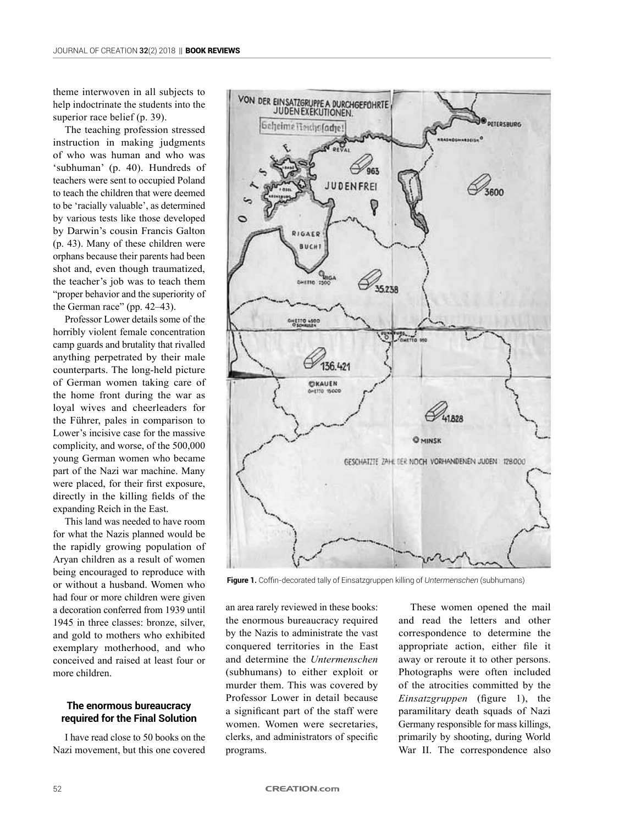theme interwoven in all subjects to help indoctrinate the students into the superior race belief (p. 39).

The teaching profession stressed instruction in making judgments of who was human and who was 'subhuman' (p. 40). Hundreds of teachers were sent to occupied Poland to teach the children that were deemed to be 'racially valuable', as determined by various tests like those developed by Darwin's cousin Francis Galton (p. 43). Many of these children were orphans because their parents had been shot and, even though traumatized, the teacher's job was to teach them "proper behavior and the superiority of the German race" (pp. 42–43).

Professor Lower details some of the horribly violent female concentration camp guards and brutality that rivalled anything perpetrated by their male counterparts. The long-held picture of German women taking care of the home front during the war as loyal wives and cheerleaders for the Führer, pales in comparison to Lower's incisive case for the massive complicity, and worse, of the 500,000 young German women who became part of the Nazi war machine. Many were placed, for their first exposure, directly in the killing fields of the expanding Reich in the East.

This land was needed to have room for what the Nazis planned would be the rapidly growing population of Aryan children as a result of women being encouraged to reproduce with or without a husband. Women who had four or more children were given a decoration conferred from 1939 until 1945 in three classes: bronze, silver, and gold to mothers who exhibited exemplary motherhood, and who conceived and raised at least four or more children.

## **The enormous bureaucracy required for the Final Solution**

I have read close to 50 books on the Nazi movement, but this one covered



**Figure 1.** Coffin-decorated tally of Einsatzgruppen killing of *Untermenschen* (subhumans)

an area rarely reviewed in these books: the enormous bureaucracy required by the Nazis to administrate the vast conquered territories in the East and determine the *Untermenschen* (subhumans) to either exploit or murder them. This was covered by Professor Lower in detail because a significant part of the staff were women. Women were secretaries, clerks, and administrators of specific programs.

These women opened the mail and read the letters and other correspondence to determine the appropriate action, either file it away or reroute it to other persons. Photographs were often included of the atrocities committed by the *Einsatzgruppen* (figure 1), the paramilitary death squads of Nazi Germany responsible for mass killings, primarily by shooting, during World War II. The correspondence also